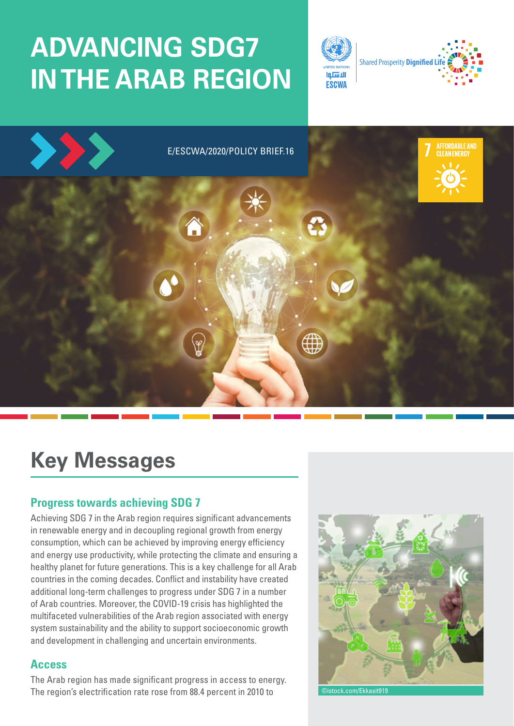# **ADVANCING SDG7 IN THE ARAB REGION**





## **Key Messages**

## **Progress towards achieving SDG 7**

Achieving SDG 7 in the Arab region requires significant advancements in renewable energy and in decoupling regional growth from energy consumption, which can be achieved by improving energy efficiency and energy use productivity, while protecting the climate and ensuring a healthy planet for future generations. This is a key challenge for all Arab countries in the coming decades. Conflict and instability have created additional long-term challenges to progress under SDG 7 in a number of Arab countries. Moreover, the COVID-19 crisis has highlighted the multifaceted vulnerabilities of the Arab region associated with energy system sustainability and the ability to support socioeconomic growth and development in challenging and uncertain environments.

## **Access**

The Arab region has made significant progress in access to energy. The region's electrification rate rose from 88.4 percent in 2010 to

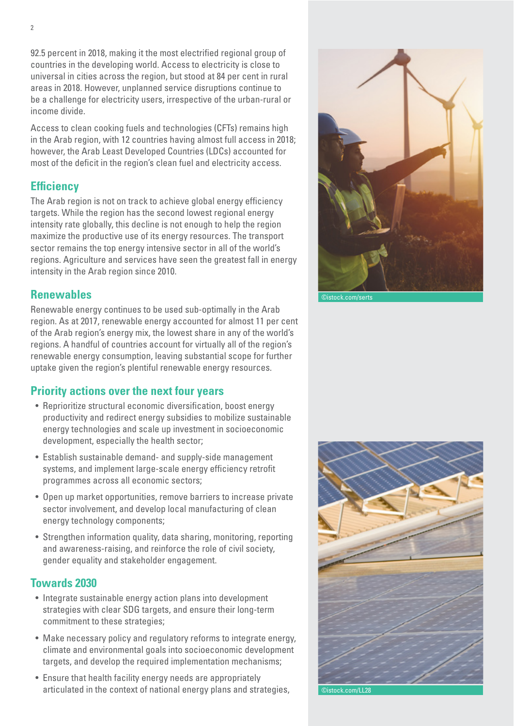92.5 percent in 2018, making it the most electrified regional group of countries in the developing world. Access to electricity is close to universal in cities across the region, but stood at 84 per cent in rural areas in 2018. However, unplanned service disruptions continue to be a challenge for electricity users, irrespective of the urban-rural or income divide.

Access to clean cooking fuels and technologies (CFTs) remains high in the Arab region, with 12 countries having almost full access in 2018; however, the Arab Least Developed Countries (LDCs) accounted for most of the deficit in the region's clean fuel and electricity access.

## **Efficiency**

The Arab region is not on track to achieve global energy efficiency targets. While the region has the second lowest regional energy intensity rate globally, this decline is not enough to help the region maximize the productive use of its energy resources. The transport sector remains the top energy intensive sector in all of the world's regions. Agriculture and services have seen the greatest fall in energy intensity in the Arab region since 2010.

### **Renewables**

Renewable energy continues to be used sub-optimally in the Arab region. As at 2017, renewable energy accounted for almost 11 per cent of the Arab region's energy mix, the lowest share in any of the world's regions. A handful of countries account for virtually all of the region's renewable energy consumption, leaving substantial scope for further uptake given the region's plentiful renewable energy resources.

## **Priority actions over the next four years**

- Reprioritize structural economic diversification, boost energy productivity and redirect energy subsidies to mobilize sustainable energy technologies and scale up investment in socioeconomic development, especially the health sector;
- Establish sustainable demand- and supply-side management systems, and implement large-scale energy efficiency retrofit programmes across all economic sectors;
- Open up market opportunities, remove barriers to increase private sector involvement, and develop local manufacturing of clean energy technology components;
- Strengthen information quality, data sharing, monitoring, reporting and awareness-raising, and reinforce the role of civil society, gender equality and stakeholder engagement.

### **Towards 2030**

- Integrate sustainable energy action plans into development strategies with clear SDG targets, and ensure their long-term commitment to these strategies;
- Make necessary policy and regulatory reforms to integrate energy, climate and environmental goals into socioeconomic development targets, and develop the required implementation mechanisms;
- Ensure that health facility energy needs are appropriately articulated in the context of national energy plans and strategies,



©istock.com/serts



istock.com/LL28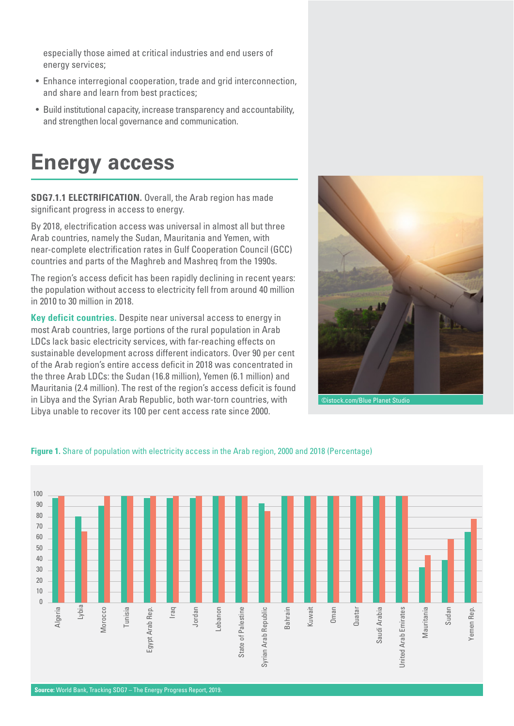especially those aimed at critical industries and end users of energy services;

- Enhance interregional cooperation, trade and grid interconnection, and share and learn from best practices;
- Build institutional capacity, increase transparency and accountability, and strengthen local governance and communication.

## **Energy access**

**SDG7.1.1 ELECTRIFICATION.** Overall, the Arab region has made significant progress in access to energy.

By 2018, electrification access was universal in almost all but three Arab countries, namely the Sudan, Mauritania and Yemen, with near-complete electrification rates in Gulf Cooperation Council (GCC) countries and parts of the Maghreb and Mashreq from the 1990s.

The region's access deficit has been rapidly declining in recent years: the population without access to electricity fell from around 40 million in 2010 to 30 million in 2018.

**Key deficit countries.** Despite near universal access to energy in most Arab countries, large portions of the rural population in Arab LDCs lack basic electricity services, with far-reaching effects on sustainable development across different indicators. Over 90 per cent of the Arab region's entire access deficit in 2018 was concentrated in the three Arab LDCs: the Sudan (16.8 million), Yemen (6.1 million) and Mauritania (2.4 million). The rest of the region's access deficit is found in Libya and the Syrian Arab Republic, both war-torn countries, with Libya unable to recover its 100 per cent access rate since 2000.





#### **Figure 1.** Share of population with electricity access in the Arab region, 2000 and 2018 (Percentage)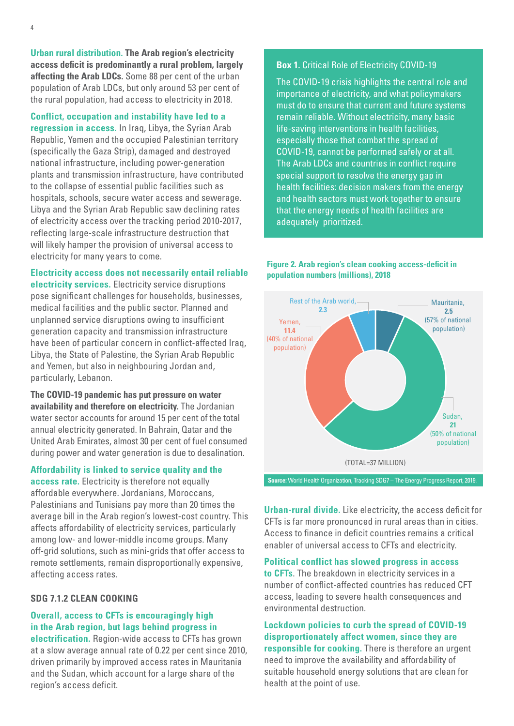**Urban rural distribution. The Arab region's electricity access deficit is predominantly a rural problem, largely affecting the Arab LDCs.** Some 88 per cent of the urban population of Arab LDCs, but only around 53 per cent of the rural population, had access to electricity in 2018.

**Conflict, occupation and instability have led to a regression in access.** In Iraq, Libya, the Syrian Arab Republic, Yemen and the occupied Palestinian territory (specifically the Gaza Strip), damaged and destroyed national infrastructure, including power-generation plants and transmission infrastructure, have contributed to the collapse of essential public facilities such as hospitals, schools, secure water access and sewerage. Libya and the Syrian Arab Republic saw declining rates of electricity access over the tracking period 2010-2017, reflecting large-scale infrastructure destruction that will likely hamper the provision of universal access to electricity for many years to come.

#### **Electricity access does not necessarily entail reliable**

**electricity services.** Electricity service disruptions pose significant challenges for households, businesses, medical facilities and the public sector. Planned and unplanned service disruptions owing to insufficient generation capacity and transmission infrastructure have been of particular concern in conflict-affected Iraq, Libya, the State of Palestine, the Syrian Arab Republic and Yemen, but also in neighbouring Jordan and, particularly, Lebanon.

**The COVID-19 pandemic has put pressure on water availability and therefore on electricity.** The Jordanian water sector accounts for around 15 per cent of the total annual electricity generated. In Bahrain, Qatar and the United Arab Emirates, almost 30 per cent of fuel consumed during power and water generation is due to desalination.

#### **Affordability is linked to service quality and the**

**access rate.** Electricity is therefore not equally affordable everywhere. Jordanians, Moroccans, Palestinians and Tunisians pay more than 20 times the average bill in the Arab region's lowest-cost country. This affects affordability of electricity services, particularly among low- and lower-middle income groups. Many off-grid solutions, such as mini-grids that offer access to remote settlements, remain disproportionally expensive, affecting access rates.

#### **SDG 7.1.2 CLEAN COOKING**

#### **Overall, access to CFTs is encouragingly high in the Arab region, but lags behind progress in**

**electrification.** Region-wide access to CFTs has grown at a slow average annual rate of 0.22 per cent since 2010, driven primarily by improved access rates in Mauritania and the Sudan, which account for a large share of the region's access deficit.

#### **Box 1.** Critical Role of Electricity COVID-19

The COVID-19 crisis highlights the central role and importance of electricity, and what policymakers must do to ensure that current and future systems remain reliable. Without electricity, many basic life-saving interventions in health facilities, especially those that combat the spread of COVID-19, cannot be performed safely or at all. The Arab LDCs and countries in conflict require special support to resolve the energy gap in health facilities: decision makers from the energy and health sectors must work together to ensure that the energy needs of health facilities are adequately prioritized.

#### **Figure 2. Arab region's clean cooking access-deficit in population numbers (millions), 2018**



**Urban-rural divide.** Like electricity, the access deficit for CFTs is far more pronounced in rural areas than in cities. Access to finance in deficit countries remains a critical enabler of universal access to CFTs and electricity.

#### **Political conflict has slowed progress in access**

**to CFTs**. The breakdown in electricity services in a number of conflict-affected countries has reduced CFT access, leading to severe health consequences and environmental destruction.

#### **Lockdown policies to curb the spread of COVID-19 disproportionately affect women, since they are responsible for cooking.** There is therefore an urgent need to improve the availability and affordability of suitable household energy solutions that are clean for health at the point of use.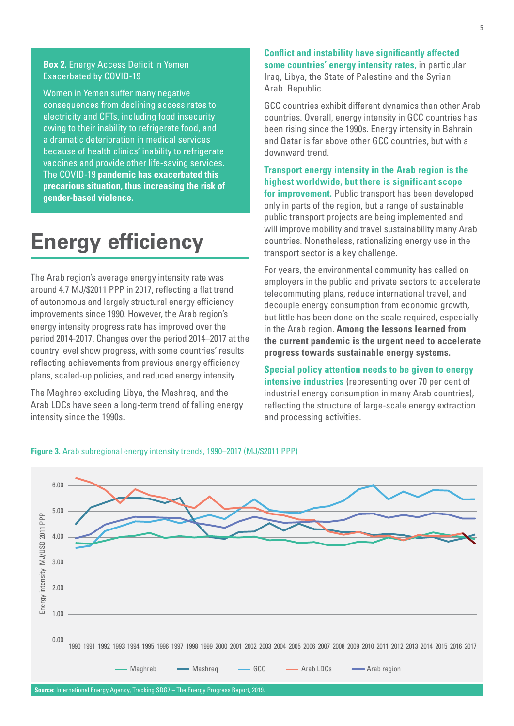#### **Box 2.** Energy Access Deficit in Yemen Exacerbated by COVID-19

Women in Yemen suffer many negative consequences from declining access rates to electricity and CFTs, including food insecurity owing to their inability to refrigerate food, and a dramatic deterioration in medical services because of health clinics' inability to refrigerate vaccines and provide other life-saving services. The COVID-19 **pandemic has exacerbated this precarious situation, thus increasing the risk of gender-based violence.**

## **Energy efficiency**

The Arab region's average energy intensity rate was around 4.7 MJ/\$2011 PPP in 2017, reflecting a flat trend of autonomous and largely structural energy efficiency improvements since 1990. However, the Arab region's energy intensity progress rate has improved over the period 2014-2017. Changes over the period 2014–2017 at the country level show progress, with some countries' results reflecting achievements from previous energy efficiency plans, scaled-up policies, and reduced energy intensity.

The Maghreb excluding Libya, the Mashreq, and the Arab LDCs have seen a long-term trend of falling energy intensity since the 1990s.

**Conflict and instability have significantly affected some countries' energy intensity rates,** in particular Iraq, Libya, the State of Palestine and the Syrian Arab Republic.

GCC countries exhibit different dynamics than other Arab countries. Overall, energy intensity in GCC countries has been rising since the 1990s. Energy intensity in Bahrain and Qatar is far above other GCC countries, but with a downward trend.

**Transport energy intensity in the Arab region is the highest worldwide, but there is significant scope for improvement.** Public transport has been developed only in parts of the region, but a range of sustainable public transport projects are being implemented and will improve mobility and travel sustainability many Arab countries. Nonetheless, rationalizing energy use in the transport sector is a key challenge.

For years, the environmental community has called on employers in the public and private sectors to accelerate telecommuting plans, reduce international travel, and decouple energy consumption from economic growth, but little has been done on the scale required, especially in the Arab region. **Among the lessons learned from the current pandemic is the urgent need to accelerate progress towards sustainable energy systems.**

**Special policy attention needs to be given to energy intensive industries** (representing over 70 per cent of industrial energy consumption in many Arab countries), reflecting the structure of large-scale energy extraction and processing activities.



#### **Figure 3.** Arab subregional energy intensity trends, 1990–2017 (MJ/\$2011 PPP)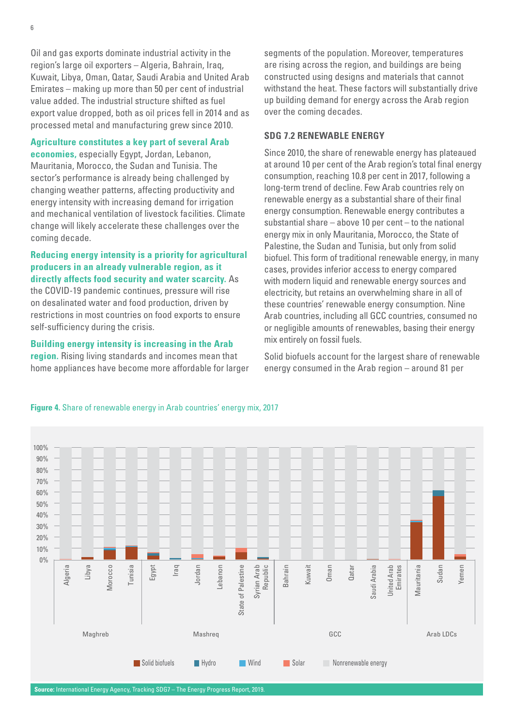Oil and gas exports dominate industrial activity in the region's large oil exporters – Algeria, Bahrain, Iraq, Kuwait, Libya, Oman, Qatar, Saudi Arabia and United Arab Emirates – making up more than 50 per cent of industrial value added. The industrial structure shifted as fuel export value dropped, both as oil prices fell in 2014 and as processed metal and manufacturing grew since 2010.

#### **Agriculture constitutes a key part of several Arab**

**economies,** especially Egypt, Jordan, Lebanon, Mauritania, Morocco, the Sudan and Tunisia. The sector's performance is already being challenged by changing weather patterns, affecting productivity and energy intensity with increasing demand for irrigation and mechanical ventilation of livestock facilities. Climate change will likely accelerate these challenges over the coming decade.

**Reducing energy intensity is a priority for agricultural producers in an already vulnerable region, as it directly affects food security and water scarcity.** As the COVID-19 pandemic continues, pressure will rise on desalinated water and food production, driven by restrictions in most countries on food exports to ensure self-sufficiency during the crisis.

**Building energy intensity is increasing in the Arab region.** Rising living standards and incomes mean that home appliances have become more affordable for larger

segments of the population. Moreover, temperatures are rising across the region, and buildings are being constructed using designs and materials that cannot withstand the heat. These factors will substantially drive up building demand for energy across the Arab region over the coming decades.

#### **SDG 7.2 RENEWABLE ENERGY**

Since 2010, the share of renewable energy has plateaued at around 10 per cent of the Arab region's total final energy consumption, reaching 10.8 per cent in 2017, following a long-term trend of decline. Few Arab countries rely on renewable energy as a substantial share of their final energy consumption. Renewable energy contributes a substantial share – above 10 per cent – to the national energy mix in only Mauritania, Morocco, the State of Palestine, the Sudan and Tunisia, but only from solid biofuel. This form of traditional renewable energy, in many cases, provides inferior access to energy compared with modern liquid and renewable energy sources and electricity, but retains an overwhelming share in all of these countries' renewable energy consumption. Nine Arab countries, including all GCC countries, consumed no or negligible amounts of renewables, basing their energy mix entirely on fossil fuels.

Solid biofuels account for the largest share of renewable energy consumed in the Arab region – around 81 per



#### **Figure 4.** Share of renewable energy in Arab countries' energy mix, 2017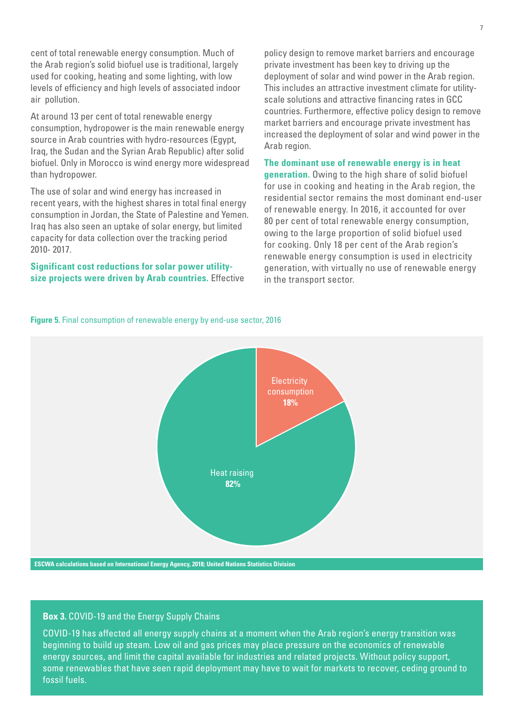cent of total renewable energy consumption. Much of the Arab region's solid biofuel use is traditional, largely used for cooking, heating and some lighting, with low levels of efficiency and high levels of associated indoor air pollution.

At around 13 per cent of total renewable energy consumption, hydropower is the main renewable energy source in Arab countries with hydro-resources (Egypt, Iraq, the Sudan and the Syrian Arab Republic) after solid biofuel. Only in Morocco is wind energy more widespread than hydropower.

The use of solar and wind energy has increased in recent years, with the highest shares in total final energy consumption in Jordan, the State of Palestine and Yemen. Iraq has also seen an uptake of solar energy, but limited capacity for data collection over the tracking period 2010- 2017.

**Significant cost reductions for solar power utilitysize projects were driven by Arab countries.** Effective

policy design to remove market barriers and encourage private investment has been key to driving up the deployment of solar and wind power in the Arab region. This includes an attractive investment climate for utilityscale solutions and attractive financing rates in GCC countries. Furthermore, effective policy design to remove market barriers and encourage private investment has increased the deployment of solar and wind power in the Arab region.

#### **The dominant use of renewable energy is in heat**

**generation.** Owing to the high share of solid biofuel for use in cooking and heating in the Arab region, the residential sector remains the most dominant end-user of renewable energy. In 2016, it accounted for over 80 per cent of total renewable energy consumption, owing to the large proportion of solid biofuel used for cooking. Only 18 per cent of the Arab region's renewable energy consumption is used in electricity generation, with virtually no use of renewable energy in the transport sector.

**Figure 5.** Final consumption of renewable energy by end-use sector, 2016



#### **Box 3.** COVID-19 and the Energy Supply Chains

COVID-19 has affected all energy supply chains at a moment when the Arab region's energy transition was beginning to build up steam. Low oil and gas prices may place pressure on the economics of renewable energy sources, and limit the capital available for industries and related projects. Without policy support, some renewables that have seen rapid deployment may have to wait for markets to recover, ceding ground to fossil fuels.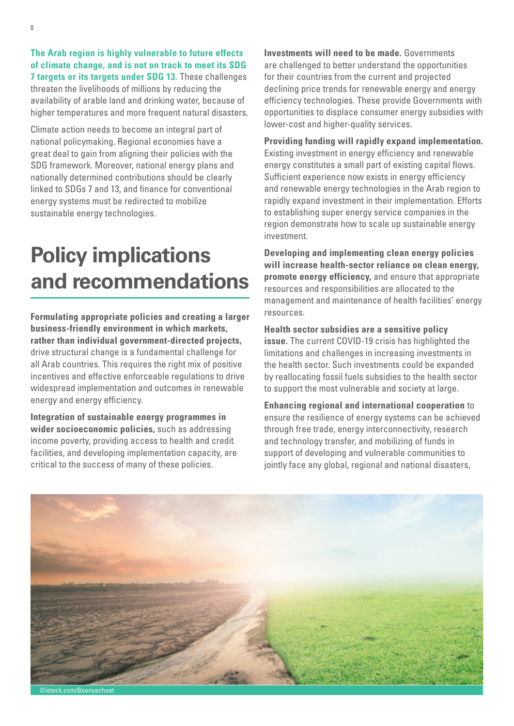**The Arab region is highly vulnerable to future effects of climate change, and is not on track to meet its SDG 7 targets or its targets under SDG 13.** These challenges threaten the livelihoods of millions by reducing the availability of arable land and drinking water, because of higher temperatures and more frequent natural disasters.

Climate action needs to become an integral part of national policymaking. Regional economies have a great deal to gain from aligning their policies with the SDG framework. Moreover, national energy plans and nationally determined contributions should be clearly linked to SDGs 7 and 13, and finance for conventional energy systems must be redirected to mobilize sustainable energy technologies.

## **Policy implications and recommendations**

**Formulating appropriate policies and creating a larger business-friendly environment in which markets, rather than individual government-directed projects,** drive structural change is a fundamental challenge for all Arab countries. This requires the right mix of positive incentives and effective enforceable regulations to drive widespread implementation and outcomes in renewable energy and energy efficiency.

**Integration of sustainable energy programmes in wider socioeconomic policies,** such as addressing income poverty, providing access to health and credit facilities, and developing implementation capacity, are critical to the success of many of these policies.

**Investments will need to be made.** Governments are challenged to better understand the opportunities for their countries from the current and projected declining price trends for renewable energy and energy efficiency technologies. These provide Governments with opportunities to displace consumer energy subsidies with lower-cost and higher-quality services.

**Providing funding will rapidly expand implementation.**  Existing investment in energy efficiency and renewable energy constitutes a small part of existing capital flows. Sufficient experience now exists in energy efficiency and renewable energy technologies in the Arab region to rapidly expand investment in their implementation. Efforts to establishing super energy service companies in the region demonstrate how to scale up sustainable energy investment.

**Developing and implementing clean energy policies will increase health-sector reliance on clean energy, promote energy efficiency,** and ensure that appropriate resources and responsibilities are allocated to the management and maintenance of health facilities' energy resources.

**Health sector subsidies are a sensitive policy issue.** The current COVID-19 crisis has highlighted the limitations and challenges in increasing investments in the health sector. Such investments could be expanded by reallocating fossil fuels subsidies to the health sector to support the most vulnerable and society at large.

**Enhancing regional and international cooperation** to ensure the resilience of energy systems can be achieved through free trade, energy interconnectivity, research and technology transfer, and mobilizing of funds in support of developing and vulnerable communities to jointly face any global, regional and national disasters,



stock.com/Boonyacho